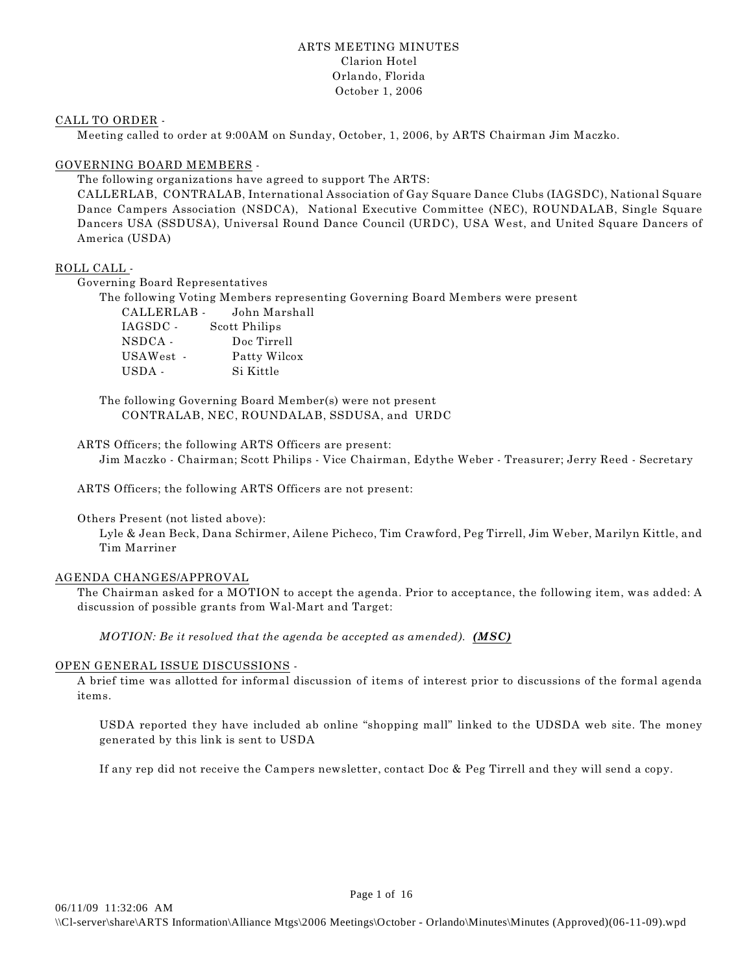# ARTS MEETING MINUTES Clarion Hotel Orlando, Florida October 1, 2006

## CALL TO ORDER -

Meeting called to order at 9:00AM on Sunday, October, 1, 2006, by ARTS Chairman Jim Maczko.

## GOVERNING BOARD MEMBERS -

The following organizations have agreed to support The ARTS:

CALLERLAB, CONTRALAB, International Association of Gay Square Dance Clubs (IAGSDC), National Square Dance Campers Association (NSDCA), National Executive Committee (NEC), ROUNDALAB, Single Square Dancers USA (SSDUSA), Universal Round Dance Council (URDC), USA West, and United Square Dancers of America (USDA)

# ROLL CALL -

Governing Board Representatives

The following Voting Members representing Governing Board Members were present CALLERLAB - John Marshall IAGSDC - Scott Philips NSDCA - Doc Tirrell USAWest - Patty Wilcox USDA - Si Kittle

The following Governing Board Member(s) were not present CONTRALAB, NEC, ROUNDALAB, SSDUSA, and URDC

ARTS Officers; the following ARTS Officers are present: Jim Maczko - Chairman; Scott Philips - Vice Chairman, Edythe Weber - Treasurer; Jerry Reed - Secretary

ARTS Officers; the following ARTS Officers are not present:

Others Present (not listed above):

Lyle & Jean Beck, Dana Schirmer, Ailene Picheco, Tim Crawford, Peg Tirrell, Jim Weber, Marilyn Kittle, and Tim Marriner

# AGENDA CHANGES/APPROVAL

The Chairman asked for a MOTION to accept the agenda. Prior to acceptance, the following item, was added: A discussion of possible grants from Wal-Mart and Target:

*MOTION: Be it resolved that the agenda be accepted as amended). (MSC)* 

# OPEN GENERAL ISSUE DISCUSSIONS -

A brief time was allotted for informal discussion of items of interest prior to discussions of the formal agenda items.

USDA reported they have included ab online "shopping mall" linked to the UDSDA web site. The money generated by this link is sent to USDA

If any rep did not receive the Campers newsletter, contact Doc & Peg Tirrell and they will send a copy.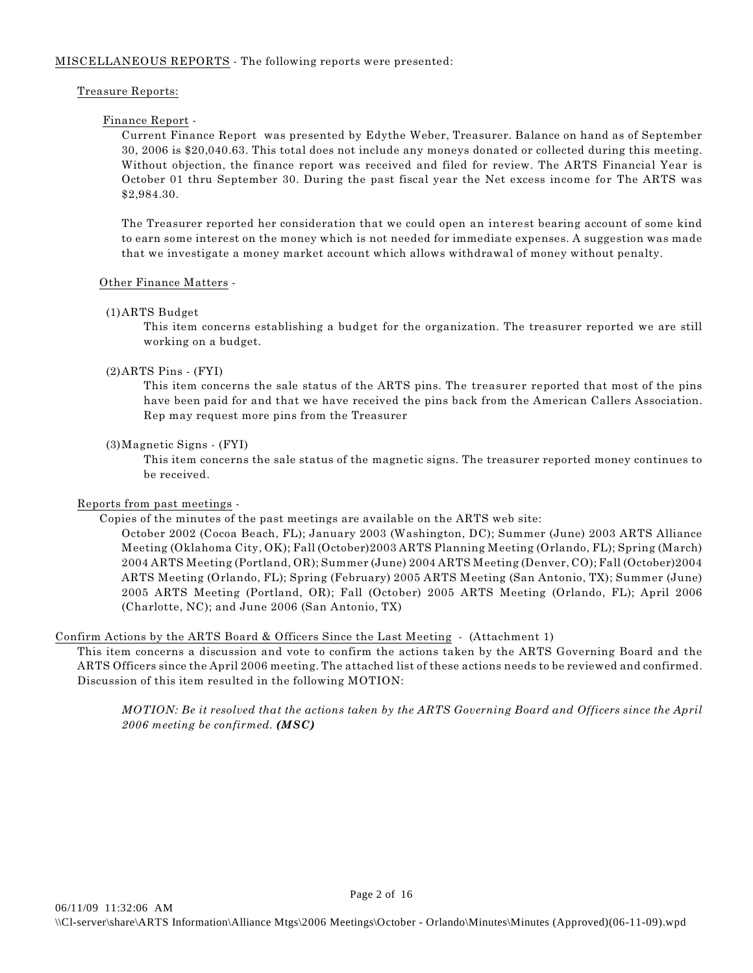## MISCELLANEOUS REPORTS - The following reports were presented:

## Treasure Reports:

# Finance Report -

Current Finance Report was presented by Edythe Weber, Treasurer. Balance on hand as of September 30, 2006 is \$20,040.63. This total does not include any moneys donated or collected during this meeting. Without objection, the finance report was received and filed for review. The ARTS Financial Year is October 01 thru September 30. During the past fiscal year the Net excess income for The ARTS was \$2,984.30.

The Treasurer reported her consideration that we could open an interest bearing account of some kind to earn some interest on the money which is not needed for immediate expenses. A suggestion was made that we investigate a money market account which allows withdrawal of money without penalty.

# Other Finance Matters -

## (1)ARTS Budget

This item concerns establishing a budget for the organization. The treasurer reported we are still working on a budget.

# (2)ARTS Pins - (FYI)

This item concerns the sale status of the ARTS pins. The treasurer reported that most of the pins have been paid for and that we have received the pins back from the American Callers Association. Rep may request more pins from the Treasurer

## (3)Magnetic Signs - (FYI)

This item concerns the sale status of the magnetic signs. The treasurer reported money continues to be received.

# Reports from past meetings -

Copies of the minutes of the past meetings are available on the ARTS web site:

October 2002 (Cocoa Beach, FL); January 2003 (Washington, DC); Summer (June) 2003 ARTS Alliance Meeting (Oklahoma City, OK); Fall (October)2003 ARTS Planning Meeting (Orlando, FL); Spring (March) 2004 ARTS Meeting (Portland, OR); Summer (June) 2004 ARTS Meeting (Denver, CO); Fall (October)2004 ARTS Meeting (Orlando, FL); Spring (February) 2005 ARTS Meeting (San Antonio, TX); Summer (June) 2005 ARTS Meeting (Portland, OR); Fall (October) 2005 ARTS Meeting (Orlando, FL); April 2006 (Charlotte, NC); and June 2006 (San Antonio, TX)

# Confirm Actions by the ARTS Board & Officers Since the Last Meeting - (Attachment 1)

This item concerns a discussion and vote to confirm the actions taken by the ARTS Governing Board and the ARTS Officers since the April 2006 meeting. The attached list of these actions needs to be reviewed and confirmed. Discussion of this item resulted in the following MOTION:

*MOTION: Be it resolved that the actions taken by the ARTS Governing Board and Officers since the April 2006 meeting be confirmed. (MSC)*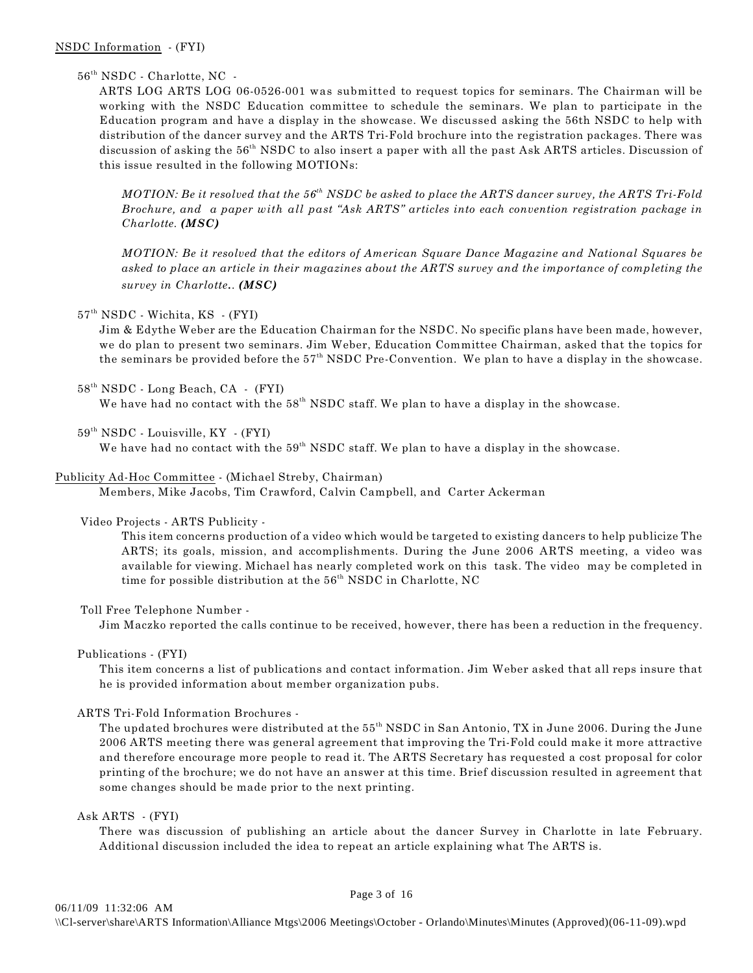## $56<sup>th</sup> NSDC$  - Charlotte, NC -

ARTS LOG ARTS LOG 06-0526-001 was submitted to request topics for seminars. The Chairman will be working with the NSDC Education committee to schedule the seminars. We plan to participate in the Education program and have a display in the showcase. We discussed asking the 56th NSDC to help with distribution of the dancer survey and the ARTS Tri-Fold brochure into the registration packages. There was discussion of asking the  $56<sup>th</sup>$  NSDC to also insert a paper with all the past Ask ARTS articles. Discussion of this issue resulted in the following MOTIONs:

*MOTION: Be it resolved that the 56 NSDC be asked to place the ARTS dancer survey, the ARTS Tri-Fold th Brochure, and a paper with all past "Ask ARTS" articles into each convention registration package in Charlotte. (MSC)*

*MOTION: Be it resolved that the editors of American Square Dance Magazine and National Squares be asked to place an article in their magazines about the ARTS survey and the importance of completing the survey in Charlotte.. (MSC)*

#### 57<sup>th</sup> NSDC - Wichita, KS - (FYI)

Jim & Edythe Weber are the Education Chairman for the NSDC. No specific plans have been made, however, we do plan to present two seminars. Jim Weber, Education Committee Chairman, asked that the topics for the seminars be provided before the  $57<sup>th</sup>$  NSDC Pre-Convention. We plan to have a display in the showcase.

 $58<sup>th</sup> NSDC$  - Long Beach, CA - (FYI)

We have had no contact with the  $58<sup>th</sup>$  NSDC staff. We plan to have a display in the showcase.

 $59<sup>th</sup> NSDC$  - Louisville, KY - (FYI)

We have had no contact with the  $59<sup>th</sup>$  NSDC staff. We plan to have a display in the showcase.

#### Publicity Ad-Hoc Committee - (Michael Streby, Chairman)

Members, Mike Jacobs, Tim Crawford, Calvin Campbell, and Carter Ackerman

#### Video Projects - ARTS Publicity -

This item concerns production of a video which would be targeted to existing dancers to help publicize The ARTS; its goals, mission, and accomplishments. During the June 2006 ARTS meeting, a video was available for viewing. Michael has nearly completed work on this task. The video may be completed in time for possible distribution at the  $56<sup>th</sup>$  NSDC in Charlotte, NC

Toll Free Telephone Number -

Jim Maczko reported the calls continue to be received, however, there has been a reduction in the frequency.

Publications - (FYI)

This item concerns a list of publications and contact information. Jim Weber asked that all reps insure that he is provided information about member organization pubs.

#### ARTS Tri-Fold Information Brochures -

The updated brochures were distributed at the 55<sup>th</sup> NSDC in San Antonio, TX in June 2006. During the June 2006 ARTS meeting there was general agreement that improving the Tri-Fold could make it more attractive and therefore encourage more people to read it. The ARTS Secretary has requested a cost proposal for color printing of the brochure; we do not have an answer at this time. Brief discussion resulted in agreement that some changes should be made prior to the next printing.

Ask ARTS - (FYI)

There was discussion of publishing an article about the dancer Survey in Charlotte in late February. Additional discussion included the idea to repeat an article explaining what The ARTS is.

Page 3 of 16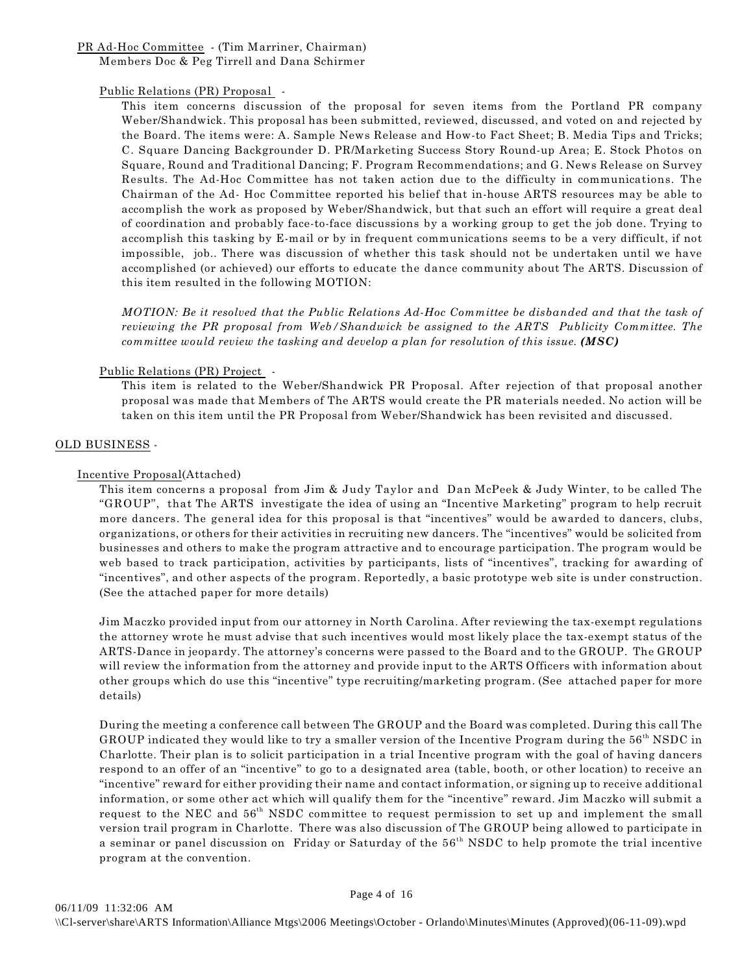PR Ad-Hoc Committee - (Tim Marriner, Chairman) Members Doc & Peg Tirrell and Dana Schirmer

## Public Relations (PR) Proposal -

This item concerns discussion of the proposal for seven items from the Portland PR company Weber/Shandwick. This proposal has been submitted, reviewed, discussed, and voted on and rejected by the Board. The items were: A. Sample News Release and How-to Fact Sheet; B. Media Tips and Tricks; C. Square Dancing Backgrounder D. PR/Marketing Success Story Round-up Area; E. Stock Photos on Square, Round and Traditional Dancing; F. Program Recommendations; and G. News Release on Survey Results. The Ad-Hoc Committee has not taken action due to the difficulty in communications. The Chairman of the Ad- Hoc Committee reported his belief that in-house ARTS resources may be able to accomplish the work as proposed by Weber/Shandwick, but that such an effort will require a great deal of coordination and probably face-to-face discussions by a working group to get the job done. Trying to accomplish this tasking by E-mail or by in frequent communications seems to be a very difficult, if not impossible, job.. There was discussion of whether this task should not be undertaken until we have accomplished (or achieved) our efforts to educate the dance community about The ARTS. Discussion of this item resulted in the following MOTION:

*MOTION: Be it resolved that the Public Relations Ad-Hoc Committee be disbanded and that the task of reviewing the PR proposal from Web/Shandwick be assigned to the ARTS Publicity Committee. The committee would review the tasking and develop a plan for resolution of this issue.* (*MSC*)

## Public Relations (PR) Project -

This item is related to the Weber/Shandwick PR Proposal. After rejection of that proposal another proposal was made that Members of The ARTS would create the PR materials needed. No action will be taken on this item until the PR Proposal from Weber/Shandwick has been revisited and discussed.

## OLD BUSINESS -

## Incentive Proposal(Attached)

This item concerns a proposal from Jim & Judy Taylor and Dan McPeek & Judy Winter, to be called The "GROUP", that The ARTS investigate the idea of using an "Incentive Marketing" program to help recruit more dancers. The general idea for this proposal is that "incentives" would be awarded to dancers, clubs, organizations, or others for their activities in recruiting new dancers. The "incentives" would be solicited from businesses and others to make the program attractive and to encourage participation. The program would be web based to track participation, activities by participants, lists of "incentives", tracking for awarding of "incentives", and other aspects of the program. Reportedly, a basic prototype web site is under construction. (See the attached paper for more details)

Jim Maczko provided input from our attorney in North Carolina. After reviewing the tax-exempt regulations the attorney wrote he must advise that such incentives would most likely place the tax-exempt status of the ARTS-Dance in jeopardy. The attorney's concerns were passed to the Board and to the GROUP. The GROUP will review the information from the attorney and provide input to the ARTS Officers with information about other groups which do use this "incentive" type recruiting/marketing program. (See attached paper for more details)

During the meeting a conference call between The GROUP and the Board was completed. During this call The GROUP indicated they would like to try a smaller version of the Incentive Program during the  $56<sup>th</sup>$  NSDC in Charlotte. Their plan is to solicit participation in a trial Incentive program with the goal of having dancers respond to an offer of an "incentive" to go to a designated area (table, booth, or other location) to receive an "incentive" reward for either providing their name and contact information, or signing up to receive additional information, or some other act which will qualify them for the "incentive" reward. Jim Maczko will submit a request to the NEC and  $56<sup>th</sup>$  NSDC committee to request permission to set up and implement the small version trail program in Charlotte. There was also discussion of The GROUP being allowed to participate in a seminar or panel discussion on Friday or Saturday of the 56<sup>th</sup> NSDC to help promote the trial incentive program at the convention.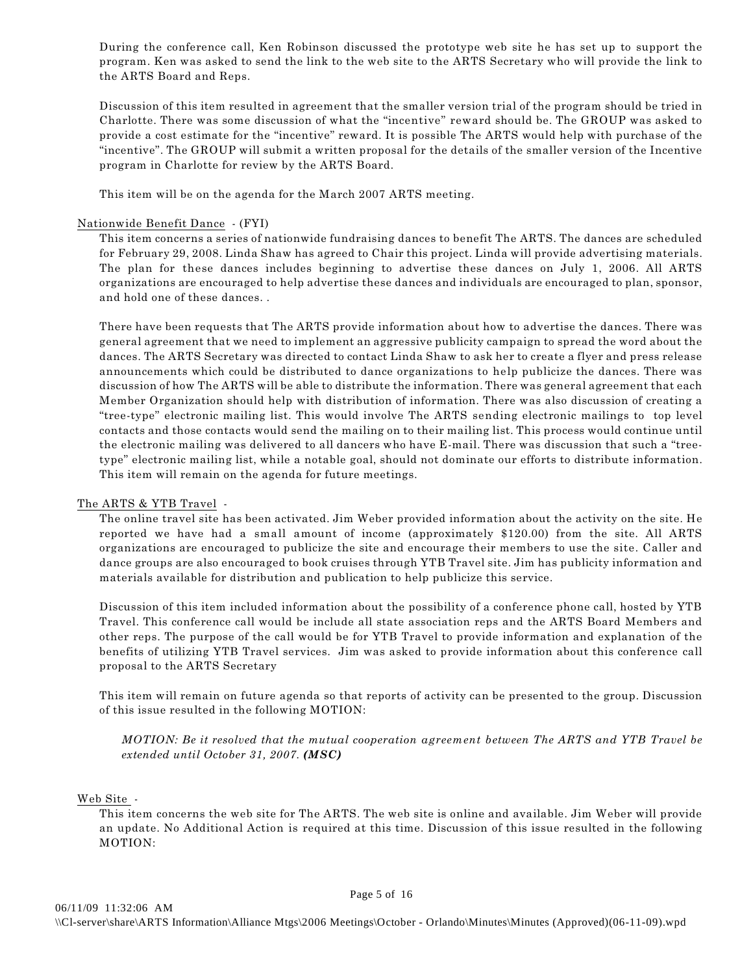During the conference call, Ken Robinson discussed the prototype web site he has set up to support the program. Ken was asked to send the link to the web site to the ARTS Secretary who will provide the link to the ARTS Board and Reps.

Discussion of this item resulted in agreement that the smaller version trial of the program should be tried in Charlotte. There was some discussion of what the "incentive" reward should be. The GROUP was asked to provide a cost estimate for the "incentive" reward. It is possible The ARTS would help with purchase of the "incentive". The GROUP will submit a written proposal for the details of the smaller version of the Incentive program in Charlotte for review by the ARTS Board.

This item will be on the agenda for the March 2007 ARTS meeting.

## Nationwide Benefit Dance - (FYI)

This item concerns a series of nationwide fundraising dances to benefit The ARTS. The dances are scheduled for February 29, 2008. Linda Shaw has agreed to Chair this project. Linda will provide advertising materials. The plan for these dances includes beginning to advertise these dances on July 1, 2006. All ARTS organizations are encouraged to help advertise these dances and individuals are encouraged to plan, sponsor, and hold one of these dances. .

There have been requests that The ARTS provide information about how to advertise the dances. There was general agreement that we need to implement an aggressive publicity campaign to spread the word about the dances. The ARTS Secretary was directed to contact Linda Shaw to ask her to create a flyer and press release announcements which could be distributed to dance organizations to help publicize the dances. There was discussion of how The ARTS will be able to distribute the information. There was general agreement that each Member Organization should help with distribution of information. There was also discussion of creating a "tree-type" electronic mailing list. This would involve The ARTS sending electronic mailings to top level contacts and those contacts would send the mailing on to their mailing list. This process would continue until the electronic mailing was delivered to all dancers who have E-mail. There was discussion that such a "treetype" electronic mailing list, while a notable goal, should not dominate our efforts to distribute information. This item will remain on the agenda for future meetings.

## The ARTS & YTB Travel -

The online travel site has been activated. Jim Weber provided information about the activity on the site. He reported we have had a small amount of income (approximately \$120.00) from the site. All ARTS organizations are encouraged to publicize the site and encourage their members to use the site. Caller and dance groups are also encouraged to book cruises through YTB Travel site. Jim has publicity information and materials available for distribution and publication to help publicize this service.

Discussion of this item included information about the possibility of a conference phone call, hosted by YTB Travel. This conference call would be include all state association reps and the ARTS Board Members and other reps. The purpose of the call would be for YTB Travel to provide information and explanation of the benefits of utilizing YTB Travel services. Jim was asked to provide information about this conference call proposal to the ARTS Secretary

This item will remain on future agenda so that reports of activity can be presented to the group. Discussion of this issue resulted in the following MOTION:

*MOTION: Be it resolved that the mutual cooperation agreement between The ARTS and YTB Travel be extended until October 31, 2007. (MSC)*

## Web Site -

This item concerns the web site for The ARTS. The web site is online and available. Jim Weber will provide an update. No Additional Action is required at this time. Discussion of this issue resulted in the following MOTION: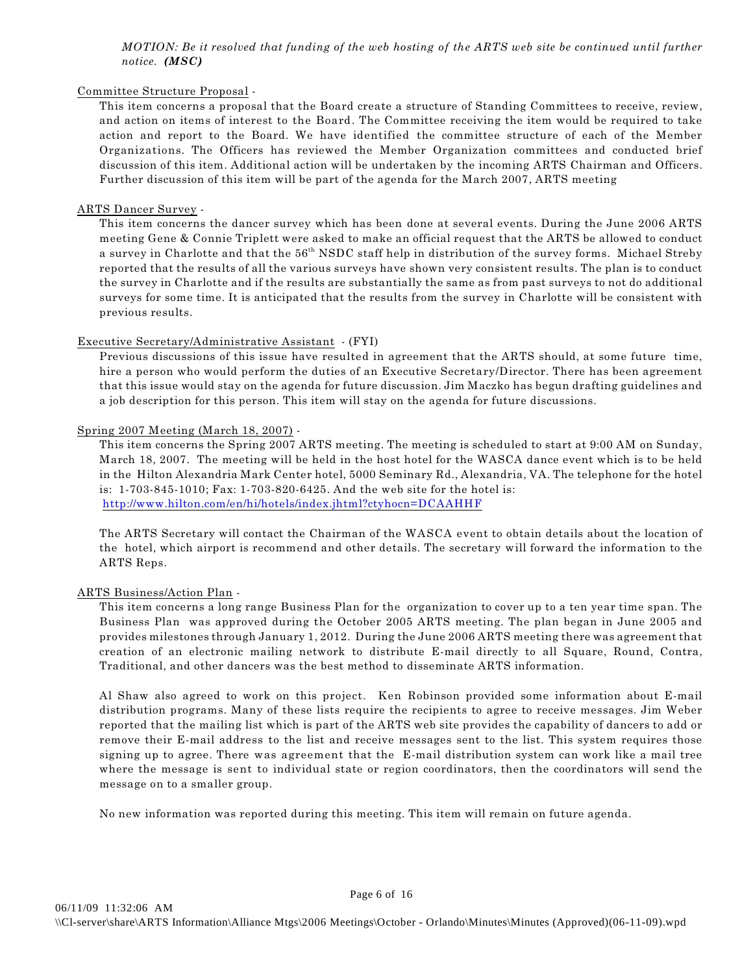*MOTION: Be it resolved that funding of the web hosting of the ARTS web site be continued until further notice. (MSC)*

## Committee Structure Proposal -

This item concerns a proposal that the Board create a structure of Standing Committees to receive, review, and action on items of interest to the Board. The Committee receiving the item would be required to take action and report to the Board. We have identified the committee structure of each of the Member Organizations. The Officers has reviewed the Member Organization committees and conducted brief discussion of this item. Additional action will be undertaken by the incoming ARTS Chairman and Officers. Further discussion of this item will be part of the agenda for the March 2007, ARTS meeting

# ARTS Dancer Survey -

This item concerns the dancer survey which has been done at several events. During the June 2006 ARTS meeting Gene & Connie Triplett were asked to make an official request that the ARTS be allowed to conduct a survey in Charlotte and that the 56<sup>th</sup> NSDC staff help in distribution of the survey forms. Michael Streby reported that the results of all the various surveys have shown very consistent results. The plan is to conduct the survey in Charlotte and if the results are substantially the same as from past surveys to not do additional surveys for some time. It is anticipated that the results from the survey in Charlotte will be consistent with previous results.

## Executive Secretary/Administrative Assistant - (FYI)

Previous discussions of this issue have resulted in agreement that the ARTS should, at some future time, hire a person who would perform the duties of an Executive Secretary/Director. There has been agreement that this issue would stay on the agenda for future discussion. Jim Maczko has begun drafting guidelines and a job description for this person. This item will stay on the agenda for future discussions.

## Spring 2007 Meeting (March 18, 2007) -

This item concerns the Spring 2007 ARTS meeting. The meeting is scheduled to start at 9:00 AM on Sunday, March 18, 2007. The meeting will be held in the host hotel for the WASCA dance event which is to be held in the Hilton Alexandria Mark Center hotel, 5000 Seminary Rd., Alexandria, VA. The telephone for the hotel is: 1-703-845-1010; Fax: 1-703-820-6425. And the web site for the hotel is: <http://www.hilton.com/en/hi/hotels/index.jhtml?ctyhocn=DCAAHHF>

The ARTS Secretary will contact the Chairman of the WASCA event to obtain details about the location of the hotel, which airport is recommend and other details. The secretary will forward the information to the ARTS Reps.

# ARTS Business/Action Plan -

This item concerns a long range Business Plan for the organization to cover up to a ten year time span. The Business Plan was approved during the October 2005 ARTS meeting. The plan began in June 2005 and provides milestones through January 1, 2012. During the June 2006 ARTS meeting there was agreement that creation of an electronic mailing network to distribute E-mail directly to all Square, Round, Contra, Traditional, and other dancers was the best method to disseminate ARTS information.

Al Shaw also agreed to work on this project. Ken Robinson provided some information about E-mail distribution programs. Many of these lists require the recipients to agree to receive messages. Jim Weber reported that the mailing list which is part of the ARTS web site provides the capability of dancers to add or remove their E-mail address to the list and receive messages sent to the list. This system requires those signing up to agree. There was agreement that the E-mail distribution system can work like a mail tree where the message is sent to individual state or region coordinators, then the coordinators will send the message on to a smaller group.

No new information was reported during this meeting. This item will remain on future agenda.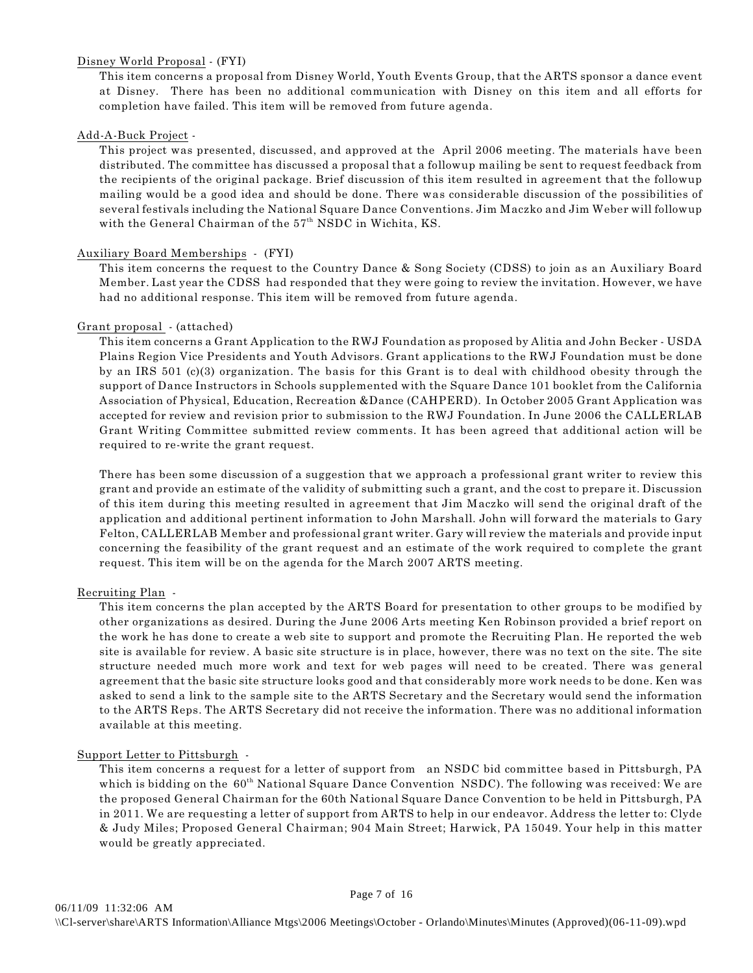## Disney World Proposal - (FYI)

This item concerns a proposal from Disney World, Youth Events Group, that the ARTS sponsor a dance event at Disney. There has been no additional communication with Disney on this item and all efforts for completion have failed. This item will be removed from future agenda.

## Add-A-Buck Project -

This project was presented, discussed, and approved at the April 2006 meeting. The materials have been distributed. The committee has discussed a proposal that a followup mailing be sent to request feedback from the recipients of the original package. Brief discussion of this item resulted in agreement that the followup mailing would be a good idea and should be done. There was considerable discussion of the possibilities of several festivals including the National Square Dance Conventions. Jim Maczko and Jim Weber will followup with the General Chairman of the  $57<sup>th</sup>$  NSDC in Wichita, KS.

## Auxiliary Board Memberships - (FYI)

This item concerns the request to the Country Dance & Song Society (CDSS) to join as an Auxiliary Board Member. Last year the CDSS had responded that they were going to review the invitation. However, we have had no additional response. This item will be removed from future agenda.

#### Grant proposal - (attached)

This item concerns a Grant Application to the RWJ Foundation as proposed by Alitia and John Becker - USDA Plains Region Vice Presidents and Youth Advisors. Grant applications to the RWJ Foundation must be done by an IRS 501 (c)(3) organization. The basis for this Grant is to deal with childhood obesity through the support of Dance Instructors in Schools supplemented with the Square Dance 101 booklet from the California Association of Physical, Education, Recreation &Dance (CAHPERD). In October 2005 Grant Application was accepted for review and revision prior to submission to the RWJ Foundation. In June 2006 the CALLERLAB Grant Writing Committee submitted review comments. It has been agreed that additional action will be required to re-write the grant request.

There has been some discussion of a suggestion that we approach a professional grant writer to review this grant and provide an estimate of the validity of submitting such a grant, and the cost to prepare it. Discussion of this item during this meeting resulted in agreement that Jim Maczko will send the original draft of the application and additional pertinent information to John Marshall. John will forward the materials to Gary Felton, CALLERLAB Member and professional grant writer. Gary will review the materials and provide input concerning the feasibility of the grant request and an estimate of the work required to complete the grant request. This item will be on the agenda for the March 2007 ARTS meeting.

#### Recruiting Plan -

This item concerns the plan accepted by the ARTS Board for presentation to other groups to be modified by other organizations as desired. During the June 2006 Arts meeting Ken Robinson provided a brief report on the work he has done to create a web site to support and promote the Recruiting Plan. He reported the web site is available for review. A basic site structure is in place, however, there was no text on the site. The site structure needed much more work and text for web pages will need to be created. There was general agreement that the basic site structure looks good and that considerably more work needs to be done. Ken was asked to send a link to the sample site to the ARTS Secretary and the Secretary would send the information to the ARTS Reps. The ARTS Secretary did not receive the information. There was no additional information available at this meeting.

#### Support Letter to Pittsburgh -

This item concerns a request for a letter of support from an NSDC bid committee based in Pittsburgh, PA which is bidding on the  $60<sup>th</sup>$  National Square Dance Convention NSDC). The following was received: We are the proposed General Chairman for the 60th National Square Dance Convention to be held in Pittsburgh, PA in 2011. We are requesting a letter of support from ARTS to help in our endeavor. Address the letter to: Clyde & Judy Miles; Proposed General Chairman; 904 Main Street; Harwick, PA 15049. Your help in this matter would be greatly appreciated.

Page 7 of 16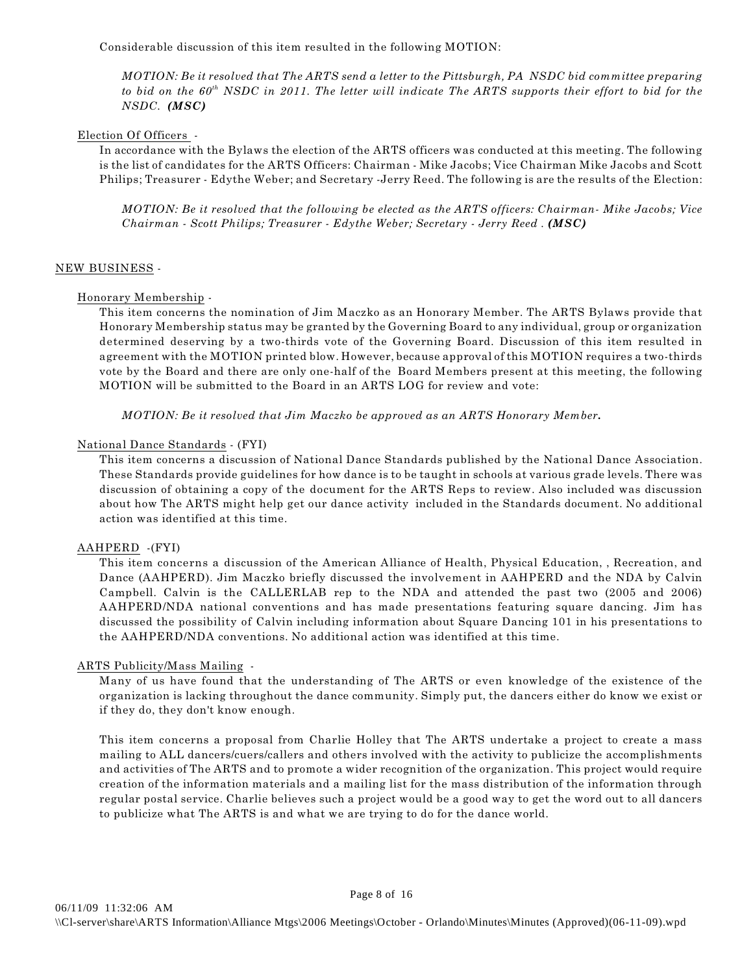Considerable discussion of this item resulted in the following MOTION:

*MOTION: Be it resolved that The ARTS send a letter to the Pittsburgh, PA NSDC bid committee preparing to bid on the 60<sup>th</sup> NSDC in 2011. The letter will indicate The ARTS supports their effort to bid for the NSDC. (MSC)*

### Election Of Officers -

In accordance with the Bylaws the election of the ARTS officers was conducted at this meeting. The following is the list of candidates for the ARTS Officers: Chairman - Mike Jacobs; Vice Chairman Mike Jacobs and Scott Philips; Treasurer - Edythe Weber; and Secretary -Jerry Reed. The following is are the results of the Election:

*MOTION: Be it resolved that the following be elected as the ARTS officers: Chairman- Mike Jacobs; Vice Chairman - Scott Philips; Treasurer - Edythe Weber; Secretary - Jerry Reed . (MSC)*

## NEW BUSINESS -

#### Honorary Membership -

This item concerns the nomination of Jim Maczko as an Honorary Member. The ARTS Bylaws provide that Honorary Membership status may be granted by the Governing Board to any individual, group or organization determined deserving by a two-thirds vote of the Governing Board. Discussion of this item resulted in agreement with the MOTION printed blow. However, because approval of this MOTION requires a two-thirds vote by the Board and there are only one-half of the Board Members present at this meeting, the following MOTION will be submitted to the Board in an ARTS LOG for review and vote:

*MOTION: Be it resolved that Jim Maczko be approved as an ARTS Honorary Member.*

## National Dance Standards - (FYI)

This item concerns a discussion of National Dance Standards published by the National Dance Association. These Standards provide guidelines for how dance is to be taught in schools at various grade levels. There was discussion of obtaining a copy of the document for the ARTS Reps to review. Also included was discussion about how The ARTS might help get our dance activity included in the Standards document. No additional action was identified at this time.

#### AAHPERD -(FYI)

This item concerns a discussion of the American Alliance of Health, Physical Education, , Recreation, and Dance (AAHPERD). Jim Maczko briefly discussed the involvement in AAHPERD and the NDA by Calvin Campbell. Calvin is the CALLERLAB rep to the NDA and attended the past two (2005 and 2006) AAHPERD/NDA national conventions and has made presentations featuring square dancing. Jim has discussed the possibility of Calvin including information about Square Dancing 101 in his presentations to the AAHPERD/NDA conventions. No additional action was identified at this time.

#### ARTS Publicity/Mass Mailing -

Many of us have found that the understanding of The ARTS or even knowledge of the existence of the organization is lacking throughout the dance community. Simply put, the dancers either do know we exist or if they do, they don't know enough.

This item concerns a proposal from Charlie Holley that The ARTS undertake a project to create a mass mailing to ALL dancers/cuers/callers and others involved with the activity to publicize the accomplishments and activities of The ARTS and to promote a wider recognition of the organization. This project would require creation of the information materials and a mailing list for the mass distribution of the information through regular postal service. Charlie believes such a project would be a good way to get the word out to all dancers to publicize what The ARTS is and what we are trying to do for the dance world.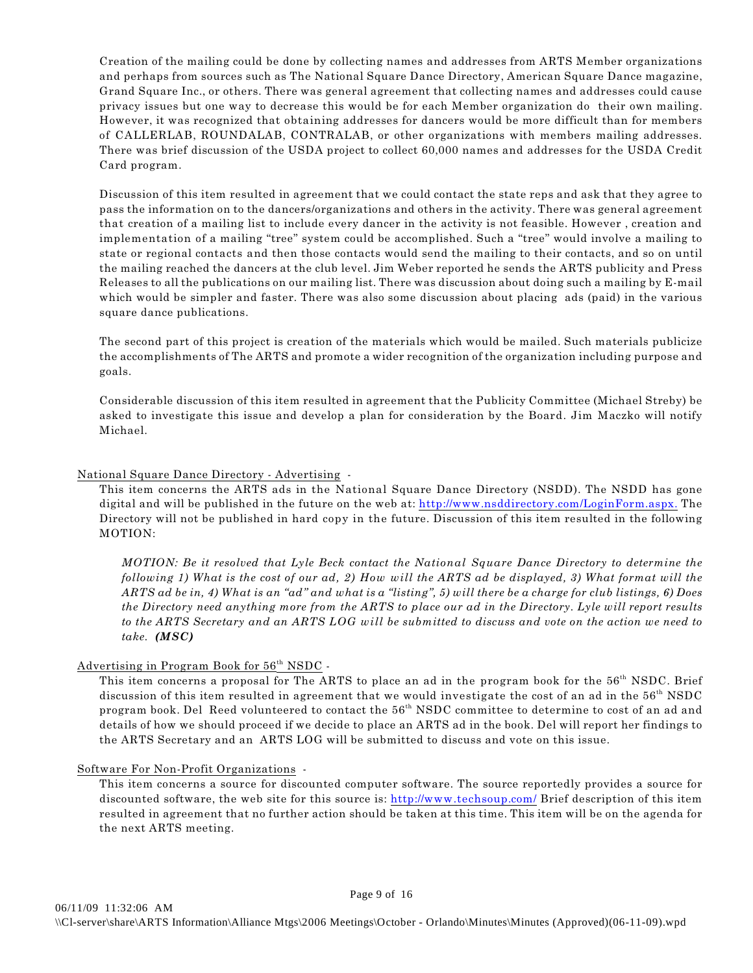Creation of the mailing could be done by collecting names and addresses from ARTS Member organizations and perhaps from sources such as The National Square Dance Directory, American Square Dance magazine, Grand Square Inc., or others. There was general agreement that collecting names and addresses could cause privacy issues but one way to decrease this would be for each Member organization do their own mailing. However, it was recognized that obtaining addresses for dancers would be more difficult than for members of CALLERLAB, ROUNDALAB, CONTRALAB, or other organizations with members mailing addresses. There was brief discussion of the USDA project to collect 60,000 names and addresses for the USDA Credit Card program.

Discussion of this item resulted in agreement that we could contact the state reps and ask that they agree to pass the information on to the dancers/organizations and others in the activity. There was general agreement that creation of a mailing list to include every dancer in the activity is not feasible. However , creation and implementation of a mailing "tree" system could be accomplished. Such a "tree" would involve a mailing to state or regional contacts and then those contacts would send the mailing to their contacts, and so on until the mailing reached the dancers at the club level. Jim Weber reported he sends the ARTS publicity and Press Releases to all the publications on our mailing list. There was discussion about doing such a mailing by E-mail which would be simpler and faster. There was also some discussion about placing ads (paid) in the various square dance publications.

The second part of this project is creation of the materials which would be mailed. Such materials publicize the accomplishments of The ARTS and promote a wider recognition of the organization including purpose and goals.

Considerable discussion of this item resulted in agreement that the Publicity Committee (Michael Streby) be asked to investigate this issue and develop a plan for consideration by the Board. Jim Maczko will notify Michael.

## National Square Dance Directory - Advertising -

This item concerns the ARTS ads in the National Square Dance Directory (NSDD). The NSDD has gone digital and will be published in the future on the web at: [http://www.nsddirectory.com/LoginForm.aspx.](http://www.nsddirectory.com/LoginForm.aspx) The Directory will not be published in hard copy in the future. Discussion of this item resulted in the following MOTION:

*MOTION: Be it resolved that Lyle Beck contact the National Square Dance Directory to determine the following 1) What is the cost of our ad, 2) How will the ARTS ad be displayed, 3) What format will the ARTS ad be in, 4) What is an "ad" and what is a "listing", 5) will there be a charge for club listings, 6) Does the Directory need anything more from the ARTS to place our ad in the Directory. Lyle will report results to the ARTS Secretary and an ARTS LOG will be submitted to discuss and vote on the action we need to take. (MSC)*

# Advertising in Program Book for 56<sup>th</sup> NSDC -

This item concerns a proposal for The ARTS to place an ad in the program book for the 56<sup>th</sup> NSDC. Brief discussion of this item resulted in agreement that we would investigate the cost of an ad in the 56<sup>th</sup> NSDC program book. Del Reed volunteered to contact the 56<sup>th</sup> NSDC committee to determine to cost of an ad and details of how we should proceed if we decide to place an ARTS ad in the book. Del will report her findings to the ARTS Secretary and an ARTS LOG will be submitted to discuss and vote on this issue.

## Software For Non-Profit Organizations -

This item concerns a source for discounted computer software. The source reportedly provides a source for discounted software, the web site for this source is:<http://www.techsoup.com/> Brief description of this item resulted in agreement that no further action should be taken at this time. This item will be on the agenda for the next ARTS meeting.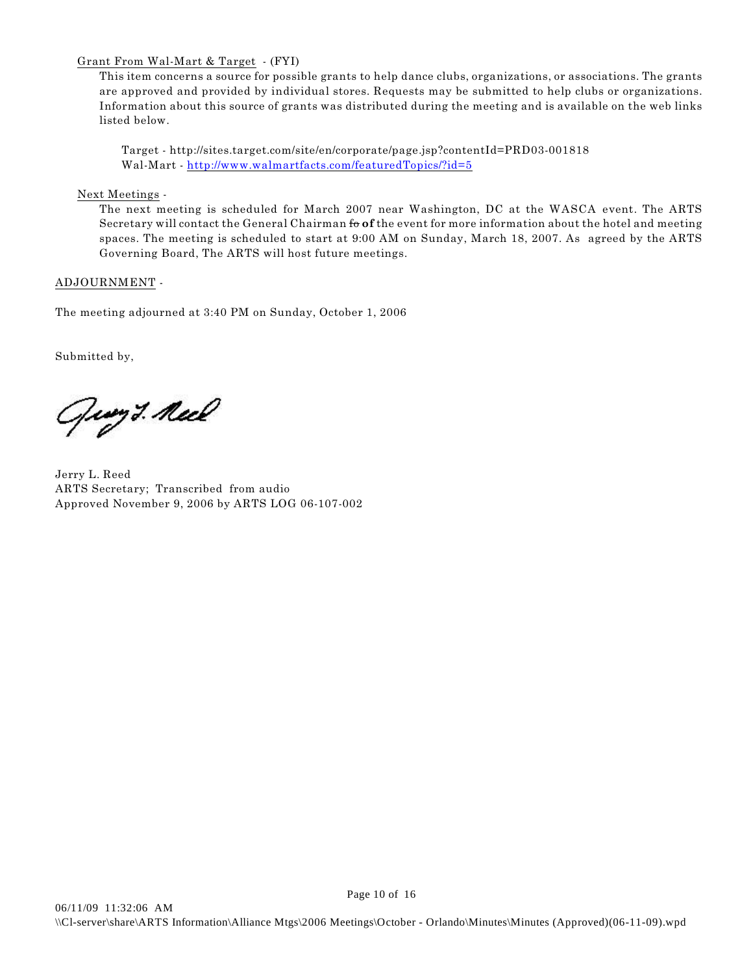# Grant From Wal-Mart & Target - (FYI)

This item concerns a source for possible grants to help dance clubs, organizations, or associations. The grants are approved and provided by individual stores. Requests may be submitted to help clubs or organizations. Information about this source of grants was distributed during the meeting and is available on the web links listed below.

Target - http://sites.target.com/site/en/corporate/page.jsp?contentId=PRD03-001818 Wal-Mart -<http://www.walmartfacts.com/featuredTopics/?id=5>

Next Meetings -

The next meeting is scheduled for March 2007 near Washington, DC at the WASCA event. The ARTS Secretary will contact the General Chairman fo **of** the event for more information about the hotel and meeting spaces. The meeting is scheduled to start at 9:00 AM on Sunday, March 18, 2007. As agreed by the ARTS Governing Board, The ARTS will host future meetings.

# ADJOURNMENT -

The meeting adjourned at 3:40 PM on Sunday, October 1, 2006

Submitted by,

Ging *3. Neel* 

Jerry L. Reed ARTS Secretary; Transcribed from audio Approved November 9, 2006 by ARTS LOG 06-107-002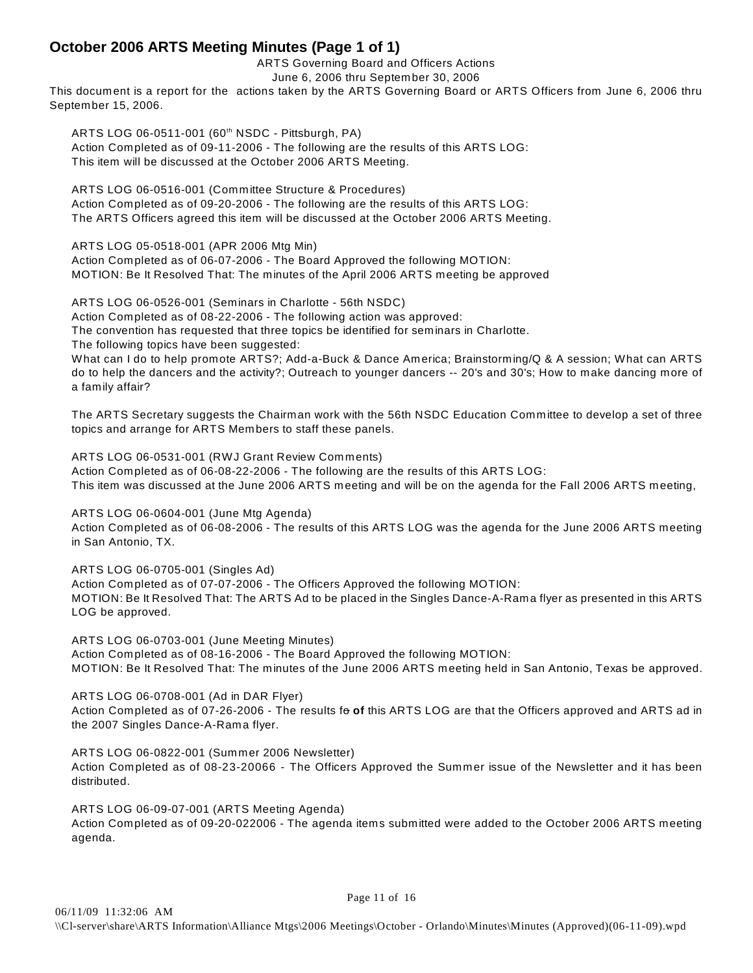# **October 2006 ARTS Meeting Minutes (Page 1 of 1)**

ARTS Governing Board and Officers Actions

June 6, 2006 thru September 30, 2006

This document is a report for the actions taken by the ARTS Governing Board or ARTS Officers from June 6, 2006 thru September 15, 2006.

ARTS LOG 06-0511-001 (60<sup>th</sup> NSDC - Pittsburgh, PA) Action Completed as of 09-11-2006 - The following are the results of this ARTS LOG: This item will be discussed at the October 2006 ARTS Meeting.

ARTS LOG 06-0516-001 (Committee Structure & Procedures) Action Completed as of 09-20-2006 - The following are the results of this ARTS LOG: The ARTS Officers agreed this item will be discussed at the October 2006 ARTS Meeting.

ARTS LOG 05-0518-001 (APR 2006 Mtg Min)

Action Completed as of 06-07-2006 - The Board Approved the following MOTION: MOTION: Be It Resolved That: The minutes of the April 2006 ARTS meeting be approved

ARTS LOG 06-0526-001 (Seminars in Charlotte - 56th NSDC)

Action Completed as of 08-22-2006 - The following action was approved:

The convention has requested that three topics be identified for seminars in Charlotte.

The following topics have been suggested:

What can I do to help promote ARTS?; Add-a-Buck & Dance America; Brainstorming/Q & A session; What can ARTS do to help the dancers and the activity?; Outreach to younger dancers -- 20's and 30's; How to make dancing more of a family affair?

The ARTS Secretary suggests the Chairman work with the 56th NSDC Education Committee to develop a set of three topics and arrange for ARTS Members to staff these panels.

ARTS LOG 06-0531-001 (RWJ Grant Review Comments) Action Completed as of 06-08-22-2006 - The following are the results of this ARTS LOG: This item was discussed at the June 2006 ARTS meeting and will be on the agenda for the Fall 2006 ARTS meeting,

ARTS LOG 06-0604-001 (June Mtg Agenda) Action Completed as of 06-08-2006 - The results of this ARTS LOG was the agenda for the June 2006 ARTS meeting in San Antonio, TX.

ARTS LOG 06-0705-001 (Singles Ad) Action Completed as of 07-07-2006 - The Officers Approved the following MOTION: MOTION: Be It Resolved That: The ARTS Ad to be placed in the Singles Dance-A-Rama flyer as presented in this ARTS LOG be approved.

ARTS LOG 06-0703-001 (June Meeting Minutes) Action Completed as of 08-16-2006 - The Board Approved the following MOTION: MOTION: Be It Resolved That: The minutes of the June 2006 ARTS meeting held in San Antonio, Texas be approved.

ARTS LOG 06-0708-001 (Ad in DAR Flyer) Action Completed as of 07-26-2006 - The results fo of this ARTS LOG are that the Officers approved and ARTS ad in the 2007 Singles Dance-A-Rama flyer.

ARTS LOG 06-0822-001 (Summer 2006 Newsletter) Action Completed as of 08-23-20066 - The Officers Approved the Summer issue of the Newsletter and it has been distributed.

ARTS LOG 06-09-07-001 (ARTS Meeting Agenda) Action Completed as of 09-20-022006 - The agenda items submitted were added to the October 2006 ARTS meeting agenda.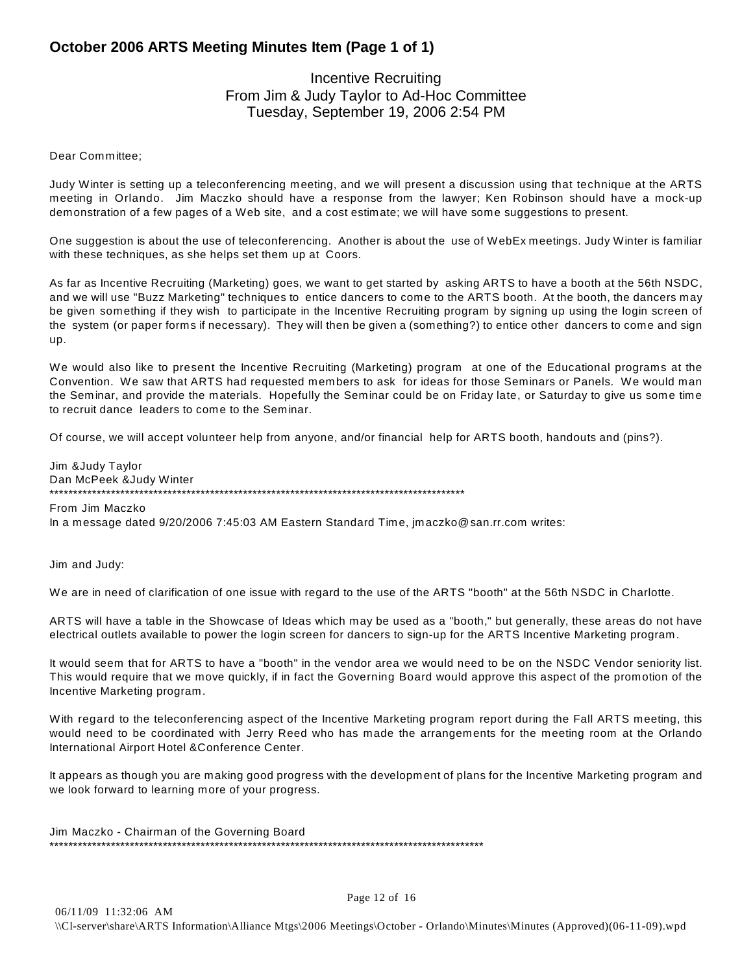# **October 2006 ARTS Meeting Minutes Item (Page 1 of 1)**

# Incentive Recruiting From Jim & Judy Taylor to Ad-Hoc Committee Tuesday, September 19, 2006 2:54 PM

## Dear Committee;

Judy Winter is setting up a teleconferencing meeting, and we will present a discussion using that technique at the ARTS meeting in Orlando. Jim Maczko should have a response from the lawyer; Ken Robinson should have a mock-up demonstration of a few pages of a Web site, and a cost estimate; we will have some suggestions to present.

One suggestion is about the use of teleconferencing. Another is about the use of WebEx meetings. Judy Winter is familiar with these techniques, as she helps set them up at Coors.

As far as Incentive Recruiting (Marketing) goes, we want to get started by asking ARTS to have a booth at the 56th NSDC, and we will use "Buzz Marketing" techniques to entice dancers to come to the ARTS booth. At the booth, the dancers may be given something if they wish to participate in the Incentive Recruiting program by signing up using the login screen of the system (or paper forms if necessary). They will then be given a (something?) to entice other dancers to come and sign up.

We would also like to present the Incentive Recruiting (Marketing) program at one of the Educational programs at the Convention. We saw that ARTS had requested members to ask for ideas for those Seminars or Panels. We would man the Seminar, and provide the materials. Hopefully the Seminar could be on Friday late, or Saturday to give us some time to recruit dance leaders to come to the Seminar.

Of course, we will accept volunteer help from anyone, and/or financial help for ARTS booth, handouts and (pins?).

Jim &Judy Taylor Dan McPeek &Judy Winter \*\*\*\*\*\*\*\*\*\*\*\*\*\*\*\*\*\*\*\*\*\*\*\*\*\*\*\*\*\*\*\*\*\*\*\*\*\*\*\*\*\*\*\*\*\*\*\*\*\*\*\*\*\*\*\*\*\*\*\*\*\*\*\*\*\*\*\*\*\*\*\*\*\*\*\*\*\*\*\*\*\*\*\*\*\*\*\*

From Jim Maczko In a message dated 9/20/2006 7:45:03 AM Eastern Standard Time, jmaczko@san.rr.com writes:

Jim and Judy:

We are in need of clarification of one issue with regard to the use of the ARTS "booth" at the 56th NSDC in Charlotte.

ARTS will have a table in the Showcase of Ideas which may be used as a "booth," but generally, these areas do not have electrical outlets available to power the login screen for dancers to sign-up for the ARTS Incentive Marketing program.

It would seem that for ARTS to have a "booth" in the vendor area we would need to be on the NSDC Vendor seniority list. This would require that we move quickly, if in fact the Governing Board would approve this aspect of the promotion of the Incentive Marketing program.

With regard to the teleconferencing aspect of the Incentive Marketing program report during the Fall ARTS meeting, this would need to be coordinated with Jerry Reed who has made the arrangements for the meeting room at the Orlando International Airport Hotel &Conference Center.

It appears as though you are making good progress with the development of plans for the Incentive Marketing program and we look forward to learning more of your progress.

Jim Maczko - Chairman of the Governing Board \*\*\*\*\*\*\*\*\*\*\*\*\*\*\*\*\*\*\*\*\*\*\*\*\*\*\*\*\*\*\*\*\*\*\*\*\*\*\*\*\*\*\*\*\*\*\*\*\*\*\*\*\*\*\*\*\*\*\*\*\*\*\*\*\*\*\*\*\*\*\*\*\*\*\*\*\*\*\*\*\*\*\*\*\*\*\*\*\*\*\*\*

Page 12 of 16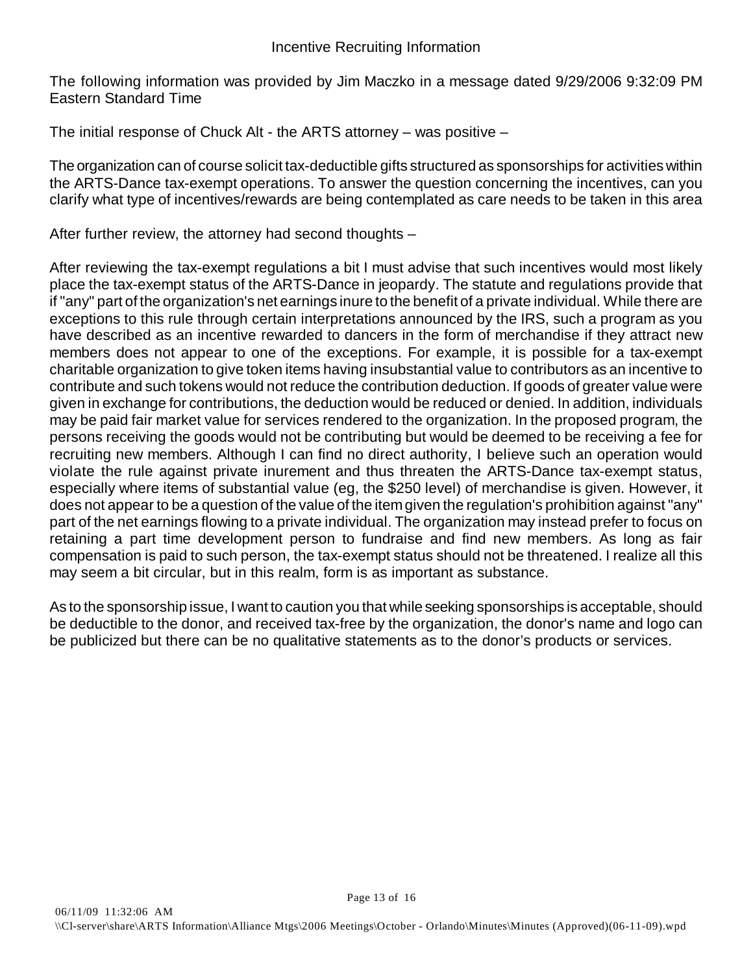The following information was provided by Jim Maczko in a message dated 9/29/2006 9:32:09 PM Eastern Standard Time

The initial response of Chuck Alt - the ARTS attorney – was positive –

The organization can of course solicit tax-deductible gifts structured as sponsorships for activities within the ARTS-Dance tax-exempt operations. To answer the question concerning the incentives, can you clarify what type of incentives/rewards are being contemplated as care needs to be taken in this area

After further review, the attorney had second thoughts –

After reviewing the tax-exempt regulations a bit I must advise that such incentives would most likely place the tax-exempt status of the ARTS-Dance in jeopardy. The statute and regulations provide that if "any" part of the organization's net earnings inure to the benefit of a private individual. While there are exceptions to this rule through certain interpretations announced by the IRS, such a program as you have described as an incentive rewarded to dancers in the form of merchandise if they attract new members does not appear to one of the exceptions. For example, it is possible for a tax-exempt charitable organization to give token items having insubstantial value to contributors as an incentive to contribute and such tokens would not reduce the contribution deduction. If goods of greater value were given in exchange for contributions, the deduction would be reduced or denied. In addition, individuals may be paid fair market value for services rendered to the organization. In the proposed program, the persons receiving the goods would not be contributing but would be deemed to be receiving a fee for recruiting new members. Although I can find no direct authority, I believe such an operation would violate the rule against private inurement and thus threaten the ARTS-Dance tax-exempt status, especially where items of substantial value (eg, the \$250 level) of merchandise is given. However, it does not appear to be a question of the value of the item given the regulation's prohibition against "any" part of the net earnings flowing to a private individual. The organization may instead prefer to focus on retaining a part time development person to fundraise and find new members. As long as fair compensation is paid to such person, the tax-exempt status should not be threatened. I realize all this may seem a bit circular, but in this realm, form is as important as substance.

As to the sponsorship issue, I want to caution you that while seeking sponsorships is acceptable, should be deductible to the donor, and received tax-free by the organization, the donor's name and logo can be publicized but there can be no qualitative statements as to the donor's products or services.

Page 13 of 16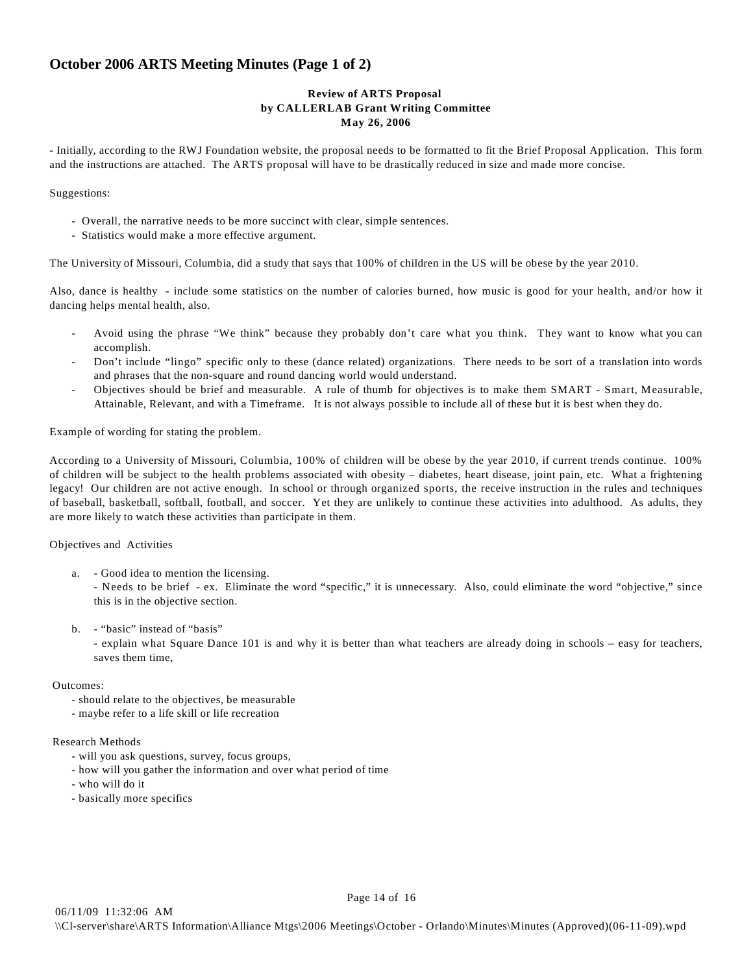# **October 2006 ARTS Meeting Minutes (Page 1 of 2)**

# **Review of ARTS Proposal by CALLERLAB Grant Writing Committee May 26, 2006**

- Initially, according to the RWJ Foundation website, the proposal needs to be formatted to fit the Brief Proposal Application. This form and the instructions are attached. The ARTS proposal will have to be drastically reduced in size and made more concise.

#### Suggestions:

- Overall, the narrative needs to be more succinct with clear, simple sentences.
- Statistics would make a more effective argument.

The University of Missouri, Columbia, did a study that says that 100% of children in the US will be obese by the year 2010.

Also, dance is healthy - include some statistics on the number of calories burned, how music is good for your health, and/or how it dancing helps mental health, also.

- Avoid using the phrase "We think" because they probably don't care what you think. They want to know what you can accomplish.
- Don't include "lingo" specific only to these (dance related) organizations. There needs to be sort of a translation into words and phrases that the non-square and round dancing world would understand.
- Objectives should be brief and measurable. A rule of thumb for objectives is to make them SMART Smart, Measurable, Attainable, Relevant, and with a Timeframe. It is not always possible to include all of these but it is best when they do.

Example of wording for stating the problem.

According to a University of Missouri, Columbia, 100% of children will be obese by the year 2010, if current trends continue. 100% of children will be subject to the health problems associated with obesity – diabetes, heart disease, joint pain, etc. What a frightening legacy! Our children are not active enough. In school or through organized sports, the receive instruction in the rules and techniques of baseball, basketball, softball, football, and soccer. Yet they are unlikely to continue these activities into adulthood. As adults, they are more likely to watch these activities than participate in them.

## Objectives and Activities

- a. Good idea to mention the licensing. - Needs to be brief - ex. Eliminate the word "specific," it is unnecessary. Also, could eliminate the word "objective," since this is in the objective section.
- b. "basic" instead of "basis" - explain what Square Dance 101 is and why it is better than what teachers are already doing in schools – easy for teachers, saves them time,

## Outcomes:

- should relate to the objectives, be measurable
- maybe refer to a life skill or life recreation

### Research Methods

- will you ask questions, survey, focus groups,
- how will you gather the information and over what period of time
- who will do it
- basically more specifics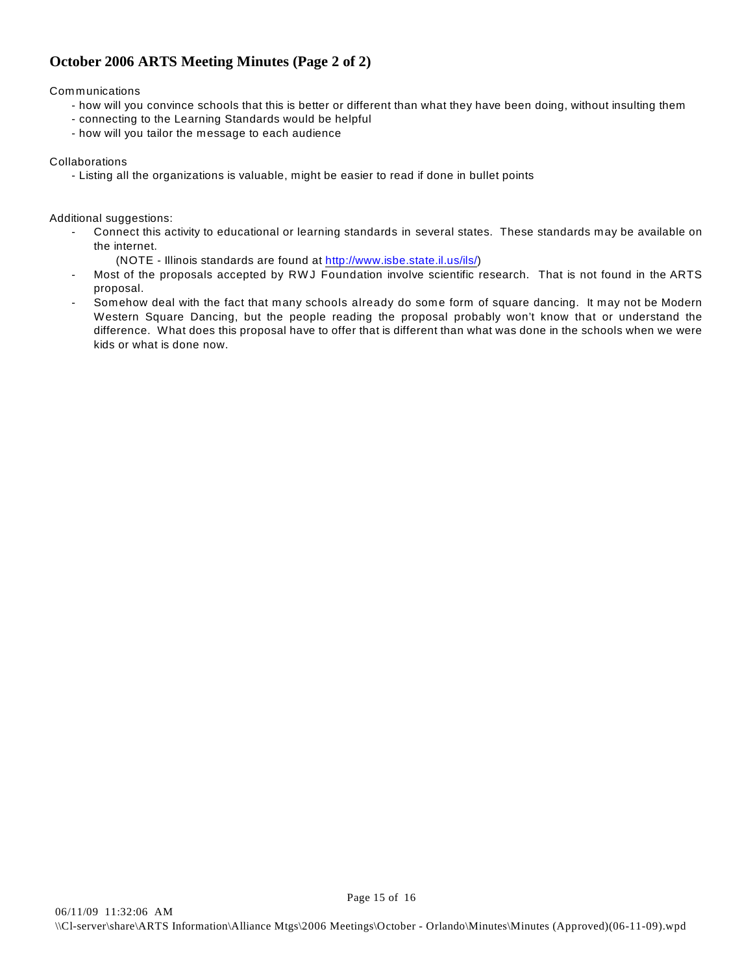# **October 2006 ARTS Meeting Minutes (Page 2 of 2)**

**Communications** 

- how will you convince schools that this is better or different than what they have been doing, without insulting them
- connecting to the Learning Standards would be helpful
- how will you tailor the message to each audience

**Collaborations** 

- Listing all the organizations is valuable, might be easier to read if done in bullet points

Additional suggestions:

- Connect this activity to educational or learning standards in several states. These standards may be available on the internet.
	- (NOTE Illinois standards are found at<http://www.isbe.state.il.us/ils/>)
- Most of the proposals accepted by RWJ Foundation involve scientific research. That is not found in the ARTS proposal.
- Somehow deal with the fact that many schools already do some form of square dancing. It may not be Modern Western Square Dancing, but the people reading the proposal probably won't know that or understand the difference. What does this proposal have to offer that is different than what was done in the schools when we were kids or what is done now.